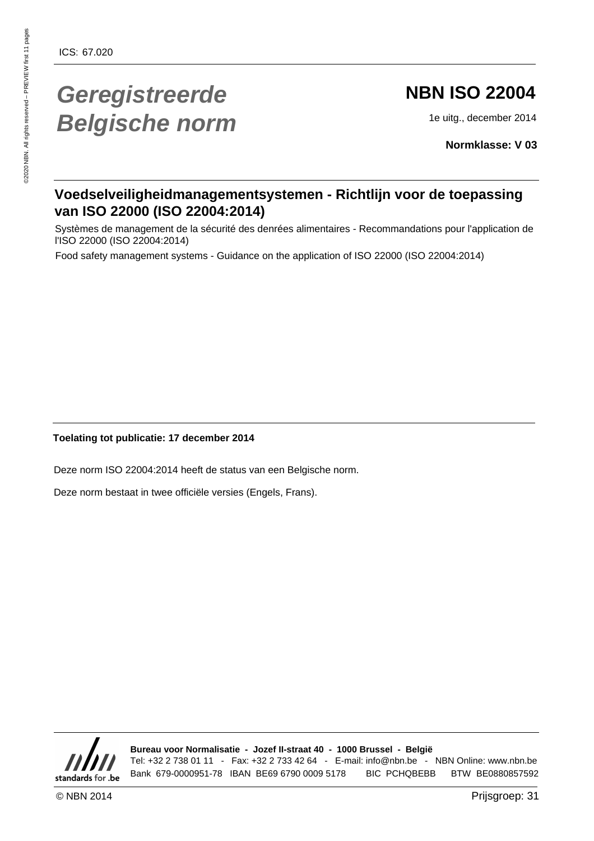# **Geregistreerde Belgische norm**

# **NBN ISO 22004**

1e uitg., december 2014

**Normklasse: V 03**

### **Voedselveiligheidmanagementsystemen - Richtlijn voor de toepassing van ISO 22000 (ISO 22004:2014)**

Systèmes de management de la sécurité des denrées alimentaires - Recommandations pour l'application de l'ISO 22000 (ISO 22004:2014)

Food safety management systems - Guidance on the application of ISO 22000 (ISO 22004:2014)

#### **Toelating tot publicatie: 17 december 2014**

Deze norm ISO 22004:2014 heeft de status van een Belgische norm.

Deze norm bestaat in twee officiële versies (Engels, Frans).



**Bureau voor Normalisatie - Jozef II-straat 40 - 1000 Brussel - België** Tel: +32 2 738 01 11 - Fax: +32 2 733 42 64 - E-mail: info@nbn.be - NBN Online: www.nbn.be Bank 679-0000951-78 IBAN BE69 6790 0009 5178 BIC PCHQBEBB BTW BE0880857592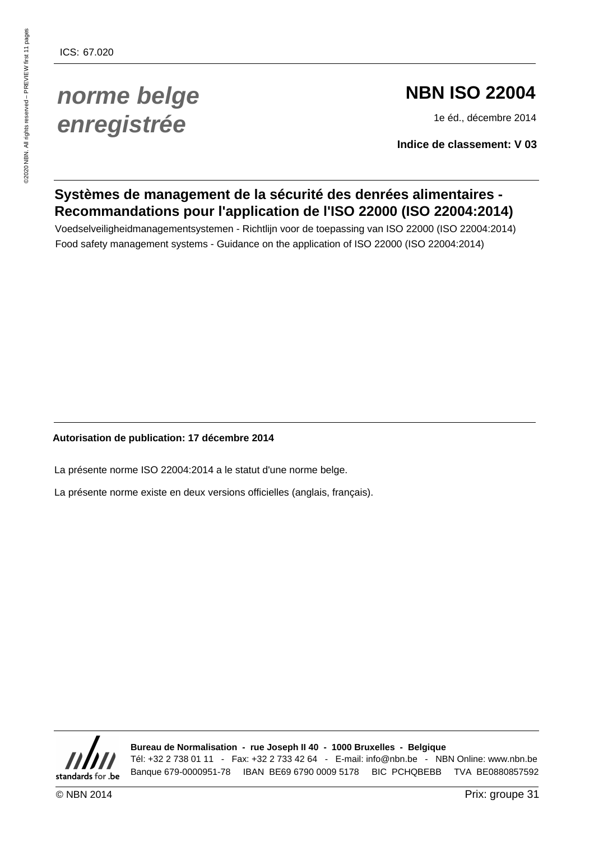# **norme belge enregistrée**

# **NBN ISO 22004**

1e éd., décembre 2014

**Indice de classement: V 03**

## **Systèmes de management de la sécurité des denrées alimentaires - Recommandations pour l'application de l'ISO 22000 (ISO 22004:2014)**

Voedselveiligheidmanagementsystemen - Richtlijn voor de toepassing van ISO 22000 (ISO 22004:2014) Food safety management systems - Guidance on the application of ISO 22000 (ISO 22004:2014)

#### **Autorisation de publication: 17 décembre 2014**

La présente norme ISO 22004:2014 a le statut d'une norme belge.

La présente norme existe en deux versions officielles (anglais, français).



**Bureau de Normalisation - rue Joseph II 40 - 1000 Bruxelles - Belgique** Tél: +32 2 738 01 11 - Fax: +32 2 733 42 64 - E-mail: info@nbn.be - NBN Online: www.nbn.be Banque 679-0000951-78 IBAN BE69 6790 0009 5178 BIC PCHQBEBB TVA BE0880857592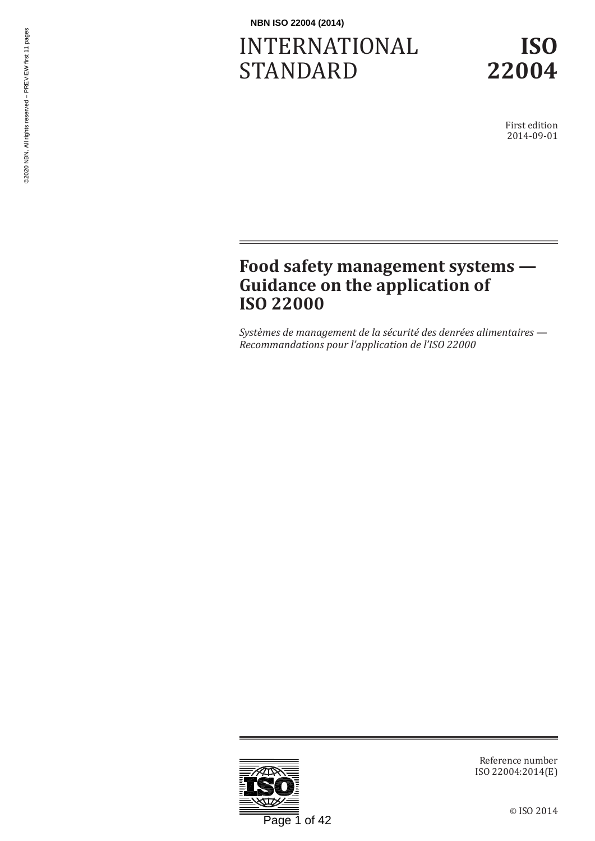# INTERNATIONAL STANDARD



First edition 2014-09-01

# **Food safety management systems — Guidance on the application of ISO 22000**

*Systèmes de management de la sécurité des denrées alimentaires — Recommandations pour l'application de l'ISO 22000*



Reference number ISO 22004:2014(E)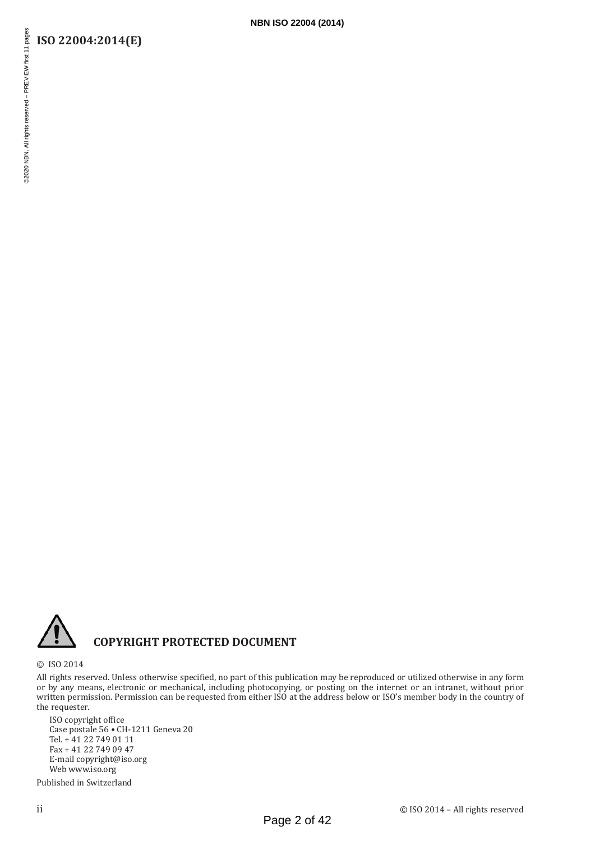**ISO 22004:2014(E)**

### **COPYRIGHT PROTECTED DOCUMENT**

© ISO 2014

All rights reserved. Unless otherwise specified, no part of this publication may be reproduced or utilized otherwise in any form or by any means, electronic or mechanical, including photocopying, or posting on the internet or an intranet, without prior written permission. Permission can be requested from either ISO at the address below or ISO's member body in the country of the requester.

**NBN ISO 22004 (2014)**

ISO copyright office Case postale 56 • CH-1211 Geneva 20 Tel. + 41 22 749 01 11 Fax + 41 22 749 09 47 E-mail copyright@iso.org Web www.iso.org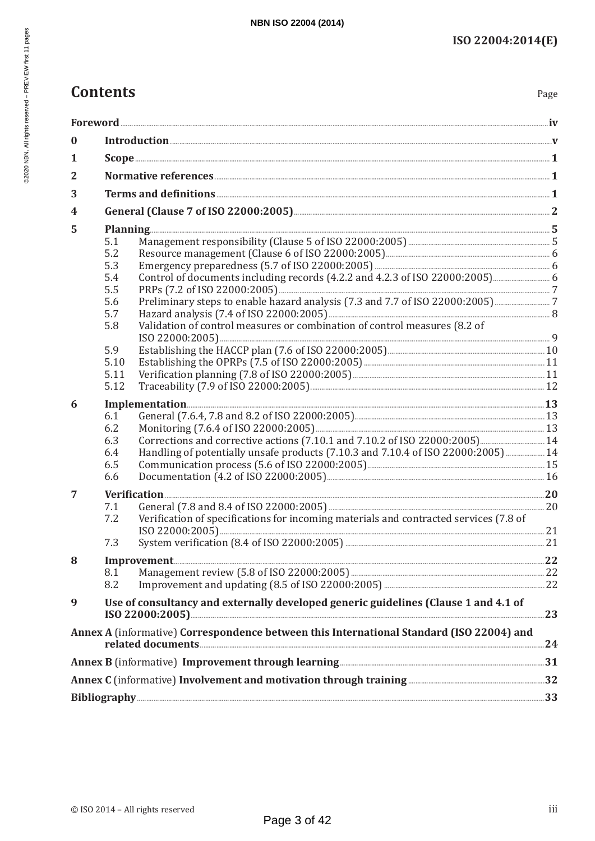| í<br>ı                           |
|----------------------------------|
|                                  |
| $\frac{1}{2}$                    |
|                                  |
| ミニロ                              |
|                                  |
| i<br>I                           |
| ١                                |
|                                  |
|                                  |
| $\overline{a}$<br>$\overline{a}$ |

| <b>Contents</b> |
|-----------------|
|-----------------|

| $\bf{0}$     |                                                                                                                                                                                                                                                                                                                                                                                         |     |  |
|--------------|-----------------------------------------------------------------------------------------------------------------------------------------------------------------------------------------------------------------------------------------------------------------------------------------------------------------------------------------------------------------------------------------|-----|--|
| 1            | $\textbf{Scope} \texttt{} \texttt{} \texttt{} \texttt{} \texttt{} \texttt{} \texttt{} \texttt{} \texttt{} \texttt{} \texttt{} \texttt{} \texttt{} \texttt{} \texttt{} \texttt{} \texttt{} \texttt{} \texttt{} \texttt{} \texttt{} \texttt{} \texttt{} \texttt{} \texttt{} \texttt{} \texttt{} \texttt{} \texttt{} \texttt{} \texttt{} \texttt{} \texttt{} \texttt{} \texttt{} \texttt{$ |     |  |
| $\mathbf{2}$ |                                                                                                                                                                                                                                                                                                                                                                                         |     |  |
| 3            |                                                                                                                                                                                                                                                                                                                                                                                         |     |  |
| 4            |                                                                                                                                                                                                                                                                                                                                                                                         |     |  |
| 5            | Planning <u>Electron Communication Communication Communication</u> 5                                                                                                                                                                                                                                                                                                                    |     |  |
|              | 5.1                                                                                                                                                                                                                                                                                                                                                                                     |     |  |
|              | 5.2                                                                                                                                                                                                                                                                                                                                                                                     |     |  |
|              | 5.3                                                                                                                                                                                                                                                                                                                                                                                     |     |  |
|              | 5.4                                                                                                                                                                                                                                                                                                                                                                                     |     |  |
|              | 5.5                                                                                                                                                                                                                                                                                                                                                                                     |     |  |
|              | 5.6<br>5.7                                                                                                                                                                                                                                                                                                                                                                              |     |  |
|              | Validation of control measures or combination of control measures (8.2 of<br>5.8                                                                                                                                                                                                                                                                                                        |     |  |
|              | 5.9                                                                                                                                                                                                                                                                                                                                                                                     |     |  |
|              | 5.10                                                                                                                                                                                                                                                                                                                                                                                    |     |  |
|              | 5.11                                                                                                                                                                                                                                                                                                                                                                                    |     |  |
|              | 5.12                                                                                                                                                                                                                                                                                                                                                                                    |     |  |
| 6            |                                                                                                                                                                                                                                                                                                                                                                                         |     |  |
|              | 6.1                                                                                                                                                                                                                                                                                                                                                                                     |     |  |
|              | 6.2                                                                                                                                                                                                                                                                                                                                                                                     |     |  |
|              | 6.3                                                                                                                                                                                                                                                                                                                                                                                     |     |  |
|              | Handling of potentially unsafe products (7.10.3 and 7.10.4 of ISO 22000:2005)  14<br>6.4                                                                                                                                                                                                                                                                                                |     |  |
|              | 6.5                                                                                                                                                                                                                                                                                                                                                                                     |     |  |
|              | 6.6                                                                                                                                                                                                                                                                                                                                                                                     |     |  |
| 7            | Verification 20                                                                                                                                                                                                                                                                                                                                                                         |     |  |
|              | 7.1                                                                                                                                                                                                                                                                                                                                                                                     |     |  |
|              | Verification of specifications for incoming materials and contracted services (7.8 of<br>7.2                                                                                                                                                                                                                                                                                            |     |  |
|              | ISO 22000:2005) 21                                                                                                                                                                                                                                                                                                                                                                      |     |  |
|              | 7.3                                                                                                                                                                                                                                                                                                                                                                                     |     |  |
| 8            |                                                                                                                                                                                                                                                                                                                                                                                         |     |  |
|              | 8.1                                                                                                                                                                                                                                                                                                                                                                                     |     |  |
|              | 8.2                                                                                                                                                                                                                                                                                                                                                                                     |     |  |
| 9            | Use of consultancy and externally developed generic guidelines (Clause 1 and 4.1 of                                                                                                                                                                                                                                                                                                     |     |  |
|              |                                                                                                                                                                                                                                                                                                                                                                                         |     |  |
|              | Annex A (informative) Correspondence between this International Standard (ISO 22004) and                                                                                                                                                                                                                                                                                                | .24 |  |
|              | Annex B (informative) Improvement through learning <b>Election Constructs</b> 21                                                                                                                                                                                                                                                                                                        |     |  |
|              |                                                                                                                                                                                                                                                                                                                                                                                         |     |  |
|              |                                                                                                                                                                                                                                                                                                                                                                                         |     |  |
|              |                                                                                                                                                                                                                                                                                                                                                                                         |     |  |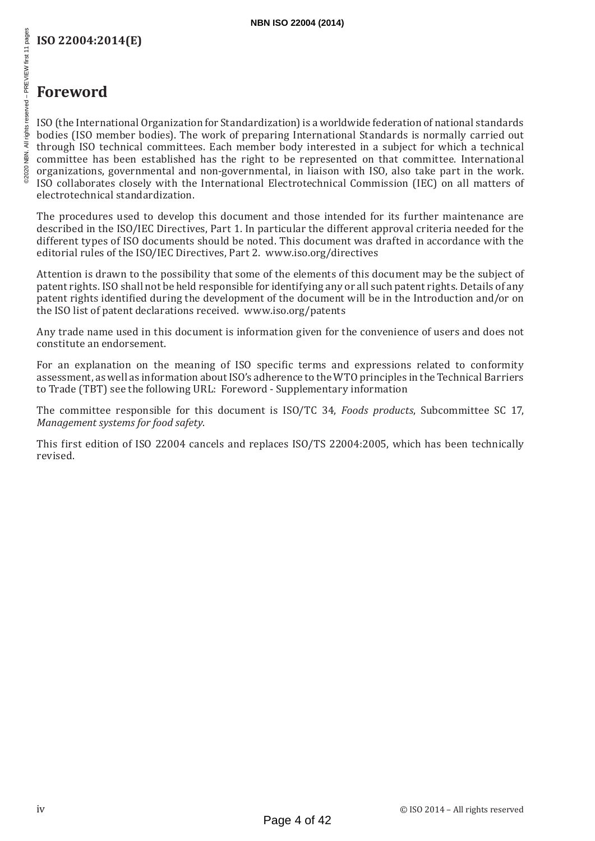### **ISO 22004:2014(E)**

# **Foreword**

ISO (the International Organization for Standardization) is a worldwide federation of national standards bodies (ISO member bodies). The work of preparing International Standards is normally carried out through ISO technical committees. Each member body interested in a subject for which a technical committee has been established has the right to be represented on that committee. International organizations, governmental and non-governmental, in liaison with ISO, also take part in the work. ISO collaborates closely with the International Electrotechnical Commission (IEC) on all matters of electrotechnical standardization.

The procedures used to develop this document and those intended for its further maintenance are described in the ISO/IEC Directives, Part 1. In particular the different approval criteria needed for the different types of ISO documents should be noted. This document was drafted in accordance with the editorial rules of the ISO/IEC Directives, Part 2. [www.iso.org/directives](http://www.iso.org/directives)

Attention is drawn to the possibility that some of the elements of this document may be the subject of patent rights. ISO shall not be held responsible for identifying any or all such patent rights. Details of any patent rights identified during the development of the document will be in the Introduction and/or on the ISO list of patent declarations received. [www.iso.org/patents](http://www.iso.org/patents)

Any trade name used in this document is information given for the convenience of users and does not constitute an endorsement.

For an explanation on the meaning of ISO specific terms and expressions related to conformity assessment, as well as information about ISO's adherence to the WTO principles in the Technical Barriers to Trade (TBT) see the following URL: [Foreword - Supplementary information](http://www.iso.org/iso/home/standards_development/resources-for-technical-work/foreword.htm)

The committee responsible for this document is ISO/TC 34, *Foods products*, Subcommittee SC 17, *Management systems for food safety*.

This first edition of ISO 22004 cancels and replaces ISO/TS 22004:2005, which has been technically revised.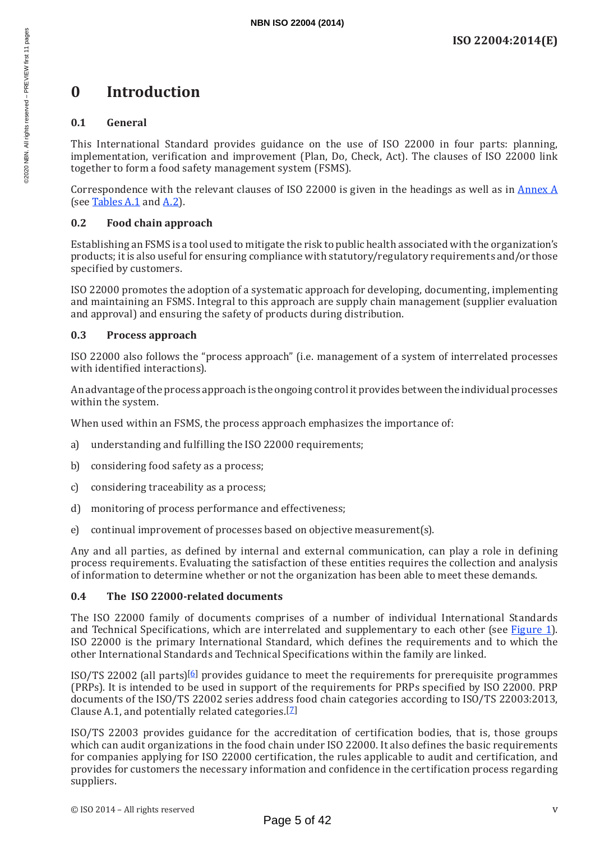# **0 Introduction**

#### **0.1 General**

This International Standard provides guidance on the use of ISO 22000 in four parts: planning, implementation, verification and improvement (Plan, Do, Check, Act). The clauses of ISO 22000 link together to form a food safety management system (FSMS).

Correspondence with the relevant clauses of ISO 22000 is given in the headings as well as in  $\frac{\text{Annex A}}{\text{Anner }A}$ (see Tables A.1 and A.2).

#### **0.2 Food chain approach**

Establishing an FSMS is a tool used to mitigate the risk to public health associated with the organization's products; it is also useful for ensuring compliance with statutory/regulatory requirements and/or those specified by customers.

ISO 22000 promotes the adoption of a systematic approach for developing, documenting, implementing and maintaining an FSMS. Integral to this approach are supply chain management (supplier evaluation and approval) and ensuring the safety of products during distribution.

#### **0.3 Process approach**

ISO 22000 also follows the "process approach" (i.e. management of a system of interrelated processes with identified interactions).

An advantage of the process approach is the ongoing control it provides between the individual processes within the system.

When used within an FSMS, the process approach emphasizes the importance of:

- a) understanding and fulfilling the ISO 22000 requirements;
- b) considering food safety as a process;
- c) considering traceability as a process;
- d) monitoring of process performance and effectiveness;
- e) continual improvement of processes based on objective measurement(s).

Any and all parties, as defined by internal and external communication, can play a role in defining process requirements. Evaluating the satisfaction of these entities requires the collection and analysis of information to determine whether or not the organization has been able to meet these demands.

#### **0.4 The ISO 22000-related documents**

The ISO 22000 family of documents comprises of a number of individual International Standards and Technical Specifications, which are interrelated and supplementary to each other (see Figure 1). ISO 22000 is the primary International Standard, which defines the requirements and to which the other International Standards and Technical Specifications within the family are linked.

ISO/TS 22002 (all parts)[6] provides guidance to meet the requirements for prerequisite programmes (PRPs). It is intended to be used in support of the requirements for PRPs specified by ISO 22000. PRP documents of the ISO/TS 22002 series address food chain categories according to ISO/TS 22003:2013, Clause A.1, and potentially related categories.<sup>[2]</sup>

ISO/TS 22003 provides guidance for the accreditation of certification bodies, that is, those groups which can audit organizations in the food chain under ISO 22000. It also defines the basic requirements for companies applying for ISO 22000 certification, the rules applicable to audit and certification, and provides for customers the necessary information and confidence in the certification process regarding suppliers.

©2020 NBN. All rights reserved – PREVIEW first 11 pages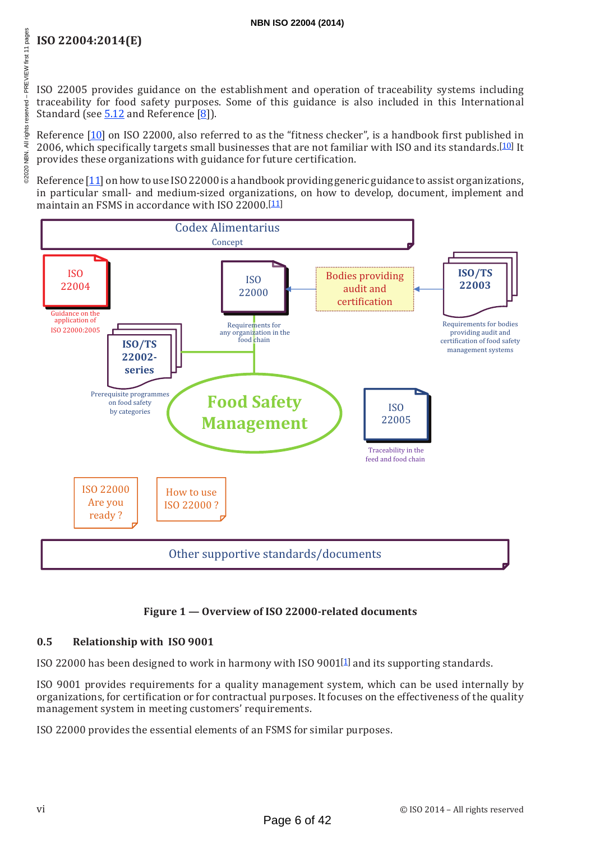## **ISO 22004:2014(E)**

ISO 22005 provides guidance on the establishment and operation of traceability systems including traceability for food safety purposes. Some of this guidance is also included in this International Standard (see  $\frac{5.12}{2}$  and Reference  $\boxed{8}$ ).

Reference [10] on ISO 22000, also referred to as the "fitness checker", is a handbook first published in 2006, which specifically targets small businesses that are not familiar with ISO and its standards.[10] It provides these organizations with guidance for future certification.

Reference [11] on how to use ISO 22000 is a handbook providing generic guidance to assist organizations, in particular small- and medium-sized organizations, on how to develop, document, implement and maintain an FSMS in accordance with ISO 22000.<sup>[11]</sup>



### **Figure 1 — Overview of ISO 22000-related documents**

#### **0.5 Relationship with ISO 9001**

ISO 22000 has been designed to work in harmony with ISO 9001[1] and its supporting standards.

ISO 9001 provides requirements for a quality management system, which can be used internally by organizations, for certification or for contractual purposes. It focuses on the effectiveness of the quality management system in meeting customers' requirements.

ISO 22000 provides the essential elements of an FSMS for similar purposes.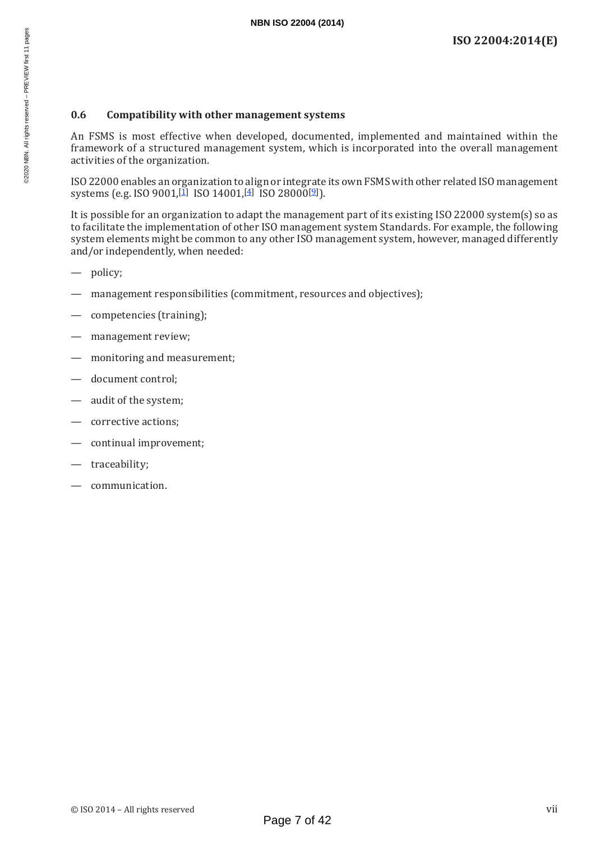#### **0.6 Compatibility with other management systems**

An FSMS is most effective when developed, documented, implemented and maintained within the framework of a structured management system, which is incorporated into the overall management activities of the organization.

ISO22000 enables an organization to align or integrate its own FSMS with other related ISO management systems (e.g. ISO 9001, [1] ISO 14001, [4] ISO 28000 [2]).

It is possible for an organization to adapt the management part of its existing ISO 22000 system(s) so as to facilitate the implementation of other ISO management system Standards. For example, the following system elements might be common to any other ISO management system, however, managed differently and/or independently, when needed:

- policy;
- management responsibilities (commitment, resources and objectives);
- competencies (training);
- management review;
- monitoring and measurement;
- document control;
- audit of the system;
- corrective actions;
- continual improvement;
- traceability;
- communication.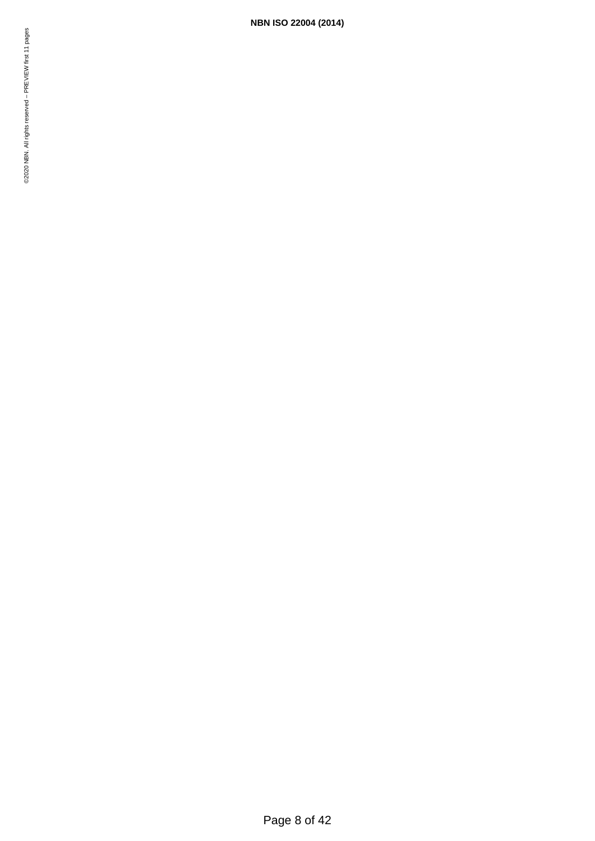**NBN ISO 22004 (2014)**